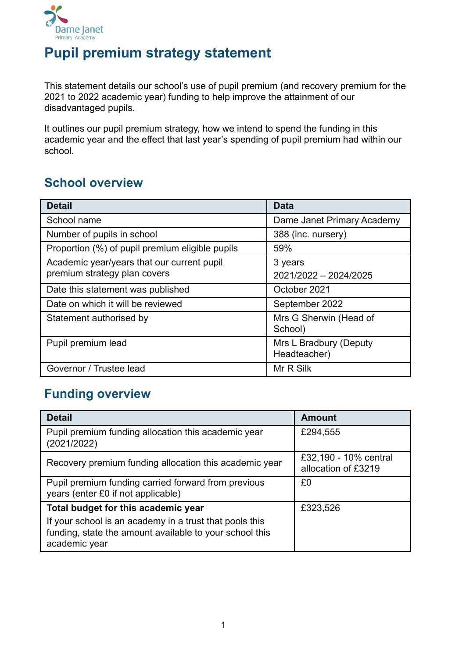

# **Pupil premium strategy statement**

This statement details our school's use of pupil premium (and recovery premium for the 2021 to 2022 academic year) funding to help improve the attainment of our disadvantaged pupils.

It outlines our pupil premium strategy, how we intend to spend the funding in this academic year and the effect that last year's spending of pupil premium had within our school.

# **School overview**

| <b>Detail</b>                                   | <b>Data</b>                            |
|-------------------------------------------------|----------------------------------------|
| School name                                     | Dame Janet Primary Academy             |
| Number of pupils in school                      | 388 (inc. nursery)                     |
| Proportion (%) of pupil premium eligible pupils | 59%                                    |
| Academic year/years that our current pupil      | 3 years                                |
| premium strategy plan covers                    | 2021/2022 - 2024/2025                  |
| Date this statement was published               | October 2021                           |
| Date on which it will be reviewed               | September 2022                         |
| Statement authorised by                         | Mrs G Sherwin (Head of<br>School)      |
| Pupil premium lead                              | Mrs L Bradbury (Deputy<br>Headteacher) |
| Governor / Trustee lead                         | Mr R Silk                              |

# **Funding overview**

| <b>Detail</b>                                                                                                                       | <b>Amount</b>                                |
|-------------------------------------------------------------------------------------------------------------------------------------|----------------------------------------------|
| Pupil premium funding allocation this academic year<br>(2021/2022)                                                                  | £294,555                                     |
| Recovery premium funding allocation this academic year                                                                              | £32,190 - 10% central<br>allocation of £3219 |
| Pupil premium funding carried forward from previous<br>years (enter £0 if not applicable)                                           | £0                                           |
| Total budget for this academic year                                                                                                 | £323,526                                     |
| If your school is an academy in a trust that pools this<br>funding, state the amount available to your school this<br>academic year |                                              |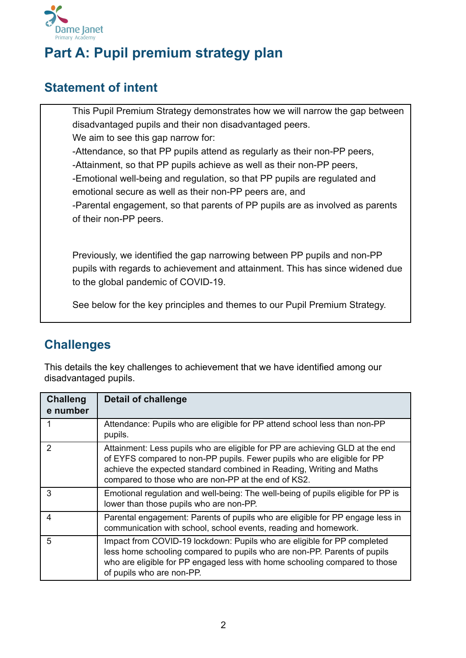

# **Part A: Pupil premium strategy plan**

### **Statement of intent**

This Pupil Premium Strategy demonstrates how we will narrow the gap between disadvantaged pupils and their non disadvantaged peers. We aim to see this gap narrow for: -Attendance, so that PP pupils attend as regularly as their non-PP peers, -Attainment, so that PP pupils achieve as well as their non-PP peers, -Emotional well-being and regulation, so that PP pupils are regulated and emotional secure as well as their non-PP peers are, and -Parental engagement, so that parents of PP pupils are as involved as parents of their non-PP peers.

Previously, we identified the gap narrowing between PP pupils and non-PP pupils with regards to achievement and attainment. This has since widened due to the global pandemic of COVID-19.

See below for the key principles and themes to our Pupil Premium Strategy.

### **Challenges**

This details the key challenges to achievement that we have identified among our disadvantaged pupils.

| <b>Challeng</b><br>e number | <b>Detail of challenge</b>                                                                                                                                                                                                                                                             |
|-----------------------------|----------------------------------------------------------------------------------------------------------------------------------------------------------------------------------------------------------------------------------------------------------------------------------------|
| 1                           | Attendance: Pupils who are eligible for PP attend school less than non-PP<br>pupils.                                                                                                                                                                                                   |
| 2                           | Attainment: Less pupils who are eligible for PP are achieving GLD at the end<br>of EYFS compared to non-PP pupils. Fewer pupils who are eligible for PP<br>achieve the expected standard combined in Reading, Writing and Maths<br>compared to those who are non-PP at the end of KS2. |
| 3                           | Emotional regulation and well-being: The well-being of pupils eligible for PP is<br>lower than those pupils who are non-PP.                                                                                                                                                            |
| 4                           | Parental engagement: Parents of pupils who are eligible for PP engage less in<br>communication with school, school events, reading and homework.                                                                                                                                       |
| 5                           | Impact from COVID-19 lockdown: Pupils who are eligible for PP completed<br>less home schooling compared to pupils who are non-PP. Parents of pupils<br>who are eligible for PP engaged less with home schooling compared to those<br>of pupils who are non-PP.                         |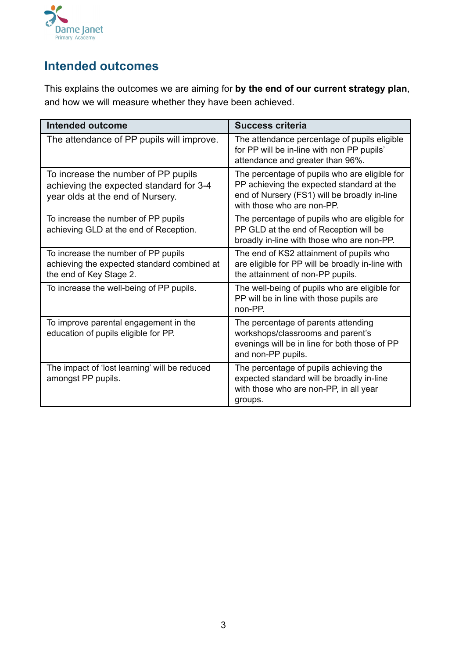

### **Intended outcomes**

This explains the outcomes we are aiming for **by the end of our current strategy plan**, and how we will measure whether they have been achieved.

| <b>Intended outcome</b>                                                                                            | <b>Success criteria</b>                                                                                                                                                  |
|--------------------------------------------------------------------------------------------------------------------|--------------------------------------------------------------------------------------------------------------------------------------------------------------------------|
| The attendance of PP pupils will improve.                                                                          | The attendance percentage of pupils eligible<br>for PP will be in-line with non PP pupils'<br>attendance and greater than 96%.                                           |
| To increase the number of PP pupils<br>achieving the expected standard for 3-4<br>year olds at the end of Nursery. | The percentage of pupils who are eligible for<br>PP achieving the expected standard at the<br>end of Nursery (FS1) will be broadly in-line<br>with those who are non-PP. |
| To increase the number of PP pupils<br>achieving GLD at the end of Reception.                                      | The percentage of pupils who are eligible for<br>PP GLD at the end of Reception will be<br>broadly in-line with those who are non-PP.                                    |
| To increase the number of PP pupils<br>achieving the expected standard combined at<br>the end of Key Stage 2.      | The end of KS2 attainment of pupils who<br>are eligible for PP will be broadly in-line with<br>the attainment of non-PP pupils.                                          |
| To increase the well-being of PP pupils.                                                                           | The well-being of pupils who are eligible for<br>PP will be in line with those pupils are<br>$non-PP$                                                                    |
| To improve parental engagement in the<br>education of pupils eligible for PP.                                      | The percentage of parents attending<br>workshops/classrooms and parent's<br>evenings will be in line for both those of PP<br>and non-PP pupils.                          |
| The impact of 'lost learning' will be reduced<br>amongst PP pupils.                                                | The percentage of pupils achieving the<br>expected standard will be broadly in-line<br>with those who are non-PP, in all year<br>groups.                                 |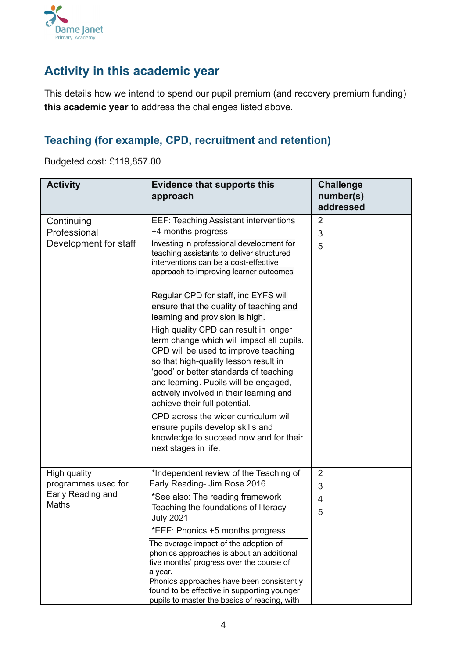

### **Activity in this academic year**

This details how we intend to spend our pupil premium (and recovery premium funding) **this academic year** to address the challenges listed above.

#### **Teaching (for example, CPD, recruitment and retention)**

Budgeted cost: £119,857.00

| <b>Activity</b>                                                   | <b>Evidence that supports this</b><br>approach                                                                                                                                                                                                                                                                                                                                                                                                                                                                                                                                                                                                                                                                                                                                                                                                            | <b>Challenge</b><br>number(s)<br>addressed            |
|-------------------------------------------------------------------|-----------------------------------------------------------------------------------------------------------------------------------------------------------------------------------------------------------------------------------------------------------------------------------------------------------------------------------------------------------------------------------------------------------------------------------------------------------------------------------------------------------------------------------------------------------------------------------------------------------------------------------------------------------------------------------------------------------------------------------------------------------------------------------------------------------------------------------------------------------|-------------------------------------------------------|
| Continuing<br>Professional<br>Development for staff               | <b>EEF: Teaching Assistant interventions</b><br>+4 months progress<br>Investing in professional development for<br>teaching assistants to deliver structured<br>interventions can be a cost-effective<br>approach to improving learner outcomes<br>Regular CPD for staff, inc EYFS will<br>ensure that the quality of teaching and<br>learning and provision is high.<br>High quality CPD can result in longer<br>term change which will impact all pupils.<br>CPD will be used to improve teaching<br>so that high-quality lesson result in<br>'good' or better standards of teaching<br>and learning. Pupils will be engaged,<br>actively involved in their learning and<br>achieve their full potential.<br>CPD across the wider curriculum will<br>ensure pupils develop skills and<br>knowledge to succeed now and for their<br>next stages in life. | $\overline{2}$<br>3<br>5                              |
| High quality<br>programmes used for<br>Early Reading and<br>Maths | *Independent review of the Teaching of<br>Early Reading- Jim Rose 2016.<br>*See also: The reading framework<br>Teaching the foundations of literacy-<br><b>July 2021</b><br>*EEF: Phonics +5 months progress<br>The average impact of the adoption of<br>phonics approaches is about an additional<br>five months' progress over the course of<br>a year.<br>Phonics approaches have been consistently<br>found to be effective in supporting younger<br>pupils to master the basics of reading, with                                                                                                                                                                                                                                                                                                                                                     | $\overline{2}$<br>$\ensuremath{\mathsf{3}}$<br>4<br>5 |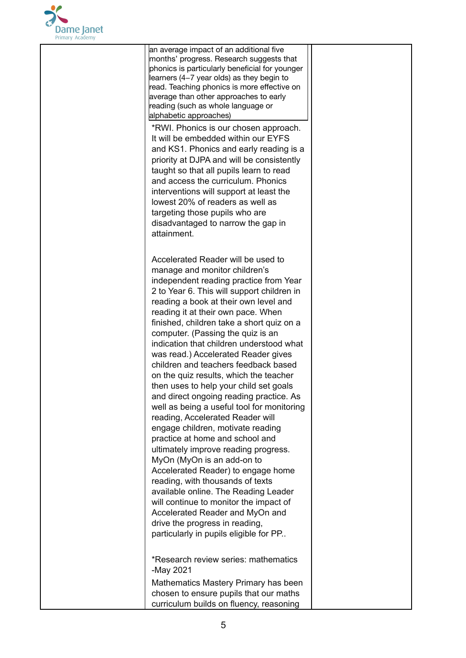

an average impact of an additional five months' progress. Research suggests that phonics is particularly beneficial for younger learners (4−7 year olds) as they begin to read. Teaching phonics is more effective on average than other approaches to early reading (such as whole language or alphabetic approaches)

\*RWI. Phonics is our chosen approach. It will be embedded within our EYFS and KS1. Phonics and early reading is a priority at DJPA and will be consistently taught so that all pupils learn to read and access the curriculum. Phonics interventions will support at least the lowest 20% of readers as well as targeting those pupils who are disadvantaged to narrow the gap in attainment.

Accelerated Reader will be used to manage and monitor children's independent reading practice from Year 2 to Year 6. This will support children in reading a book at their own level and reading it at their own pace. When finished, children take a short quiz on a computer. (Passing the quiz is an indication that children understood what was read.) Accelerated Reader gives children and teachers feedback based on the quiz results, which the teacher then uses to help your child set goals and direct ongoing reading practice. As well as being a useful tool for monitoring reading, Accelerated Reader will engage children, motivate reading practice at home and school and ultimately improve reading progress. MyOn (MyOn is an add-on to Accelerated Reader) to engage home reading, with thousands of texts available online. The Reading Leader will continue to monitor the impact of Accelerated Reader and MyOn and drive the progress in reading, particularly in pupils eligible for PP..

\*Research review series: mathematics -May 2021 Mathematics Mastery Primary has been chosen to ensure pupils that our maths curriculum builds on fluency, reasoning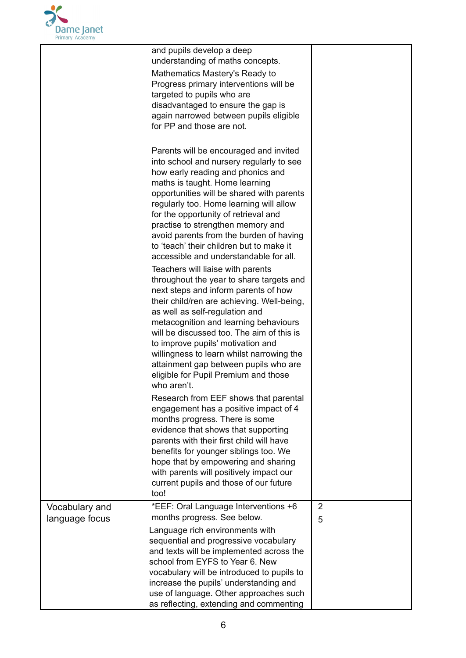

|                                  | and pupils develop a deep<br>understanding of maths concepts.<br>Mathematics Mastery's Ready to<br>Progress primary interventions will be<br>targeted to pupils who are<br>disadvantaged to ensure the gap is<br>again narrowed between pupils eligible<br>for PP and those are not.                                                                                                                                                                                                                                                                                                                                                                                                                                                                                                                                                                                                                                                             |        |
|----------------------------------|--------------------------------------------------------------------------------------------------------------------------------------------------------------------------------------------------------------------------------------------------------------------------------------------------------------------------------------------------------------------------------------------------------------------------------------------------------------------------------------------------------------------------------------------------------------------------------------------------------------------------------------------------------------------------------------------------------------------------------------------------------------------------------------------------------------------------------------------------------------------------------------------------------------------------------------------------|--------|
|                                  | Parents will be encouraged and invited<br>into school and nursery regularly to see<br>how early reading and phonics and<br>maths is taught. Home learning<br>opportunities will be shared with parents<br>regularly too. Home learning will allow<br>for the opportunity of retrieval and<br>practise to strengthen memory and<br>avoid parents from the burden of having<br>to 'teach' their children but to make it<br>accessible and understandable for all.<br>Teachers will liaise with parents<br>throughout the year to share targets and<br>next steps and inform parents of how<br>their child/ren are achieving. Well-being,<br>as well as self-regulation and<br>metacognition and learning behaviours<br>will be discussed too. The aim of this is<br>to improve pupils' motivation and<br>willingness to learn whilst narrowing the<br>attainment gap between pupils who are<br>eligible for Pupil Premium and those<br>who aren't. |        |
|                                  | Research from EEF shows that parental<br>engagement has a positive impact of 4<br>months progress. There is some<br>evidence that shows that supporting<br>parents with their first child will have<br>benefits for younger siblings too. We<br>hope that by empowering and sharing<br>with parents will positively impact our<br>current pupils and those of our future<br>too!                                                                                                                                                                                                                                                                                                                                                                                                                                                                                                                                                                 |        |
| Vocabulary and<br>language focus | *EEF: Oral Language Interventions +6<br>months progress. See below.<br>Language rich environments with<br>sequential and progressive vocabulary<br>and texts will be implemented across the<br>school from EYFS to Year 6. New<br>vocabulary will be introduced to pupils to<br>increase the pupils' understanding and<br>use of language. Other approaches such<br>as reflecting, extending and commenting                                                                                                                                                                                                                                                                                                                                                                                                                                                                                                                                      | 2<br>5 |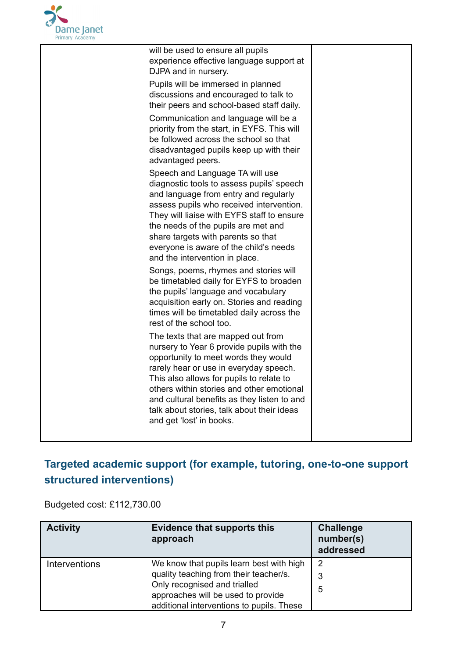

| will be used to ensure all pupils<br>experience effective language support at<br>DJPA and in nursery.                                                                                                                                                                                                                                                                               |  |
|-------------------------------------------------------------------------------------------------------------------------------------------------------------------------------------------------------------------------------------------------------------------------------------------------------------------------------------------------------------------------------------|--|
| Pupils will be immersed in planned<br>discussions and encouraged to talk to<br>their peers and school-based staff daily.                                                                                                                                                                                                                                                            |  |
| Communication and language will be a<br>priority from the start, in EYFS. This will<br>be followed across the school so that<br>disadvantaged pupils keep up with their<br>advantaged peers.                                                                                                                                                                                        |  |
| Speech and Language TA will use<br>diagnostic tools to assess pupils' speech<br>and language from entry and regularly<br>assess pupils who received intervention.<br>They will liaise with EYFS staff to ensure<br>the needs of the pupils are met and<br>share targets with parents so that<br>everyone is aware of the child's needs<br>and the intervention in place.            |  |
| Songs, poems, rhymes and stories will<br>be timetabled daily for EYFS to broaden<br>the pupils' language and vocabulary<br>acquisition early on. Stories and reading<br>times will be timetabled daily across the<br>rest of the school too.                                                                                                                                        |  |
| The texts that are mapped out from<br>nursery to Year 6 provide pupils with the<br>opportunity to meet words they would<br>rarely hear or use in everyday speech.<br>This also allows for pupils to relate to<br>others within stories and other emotional<br>and cultural benefits as they listen to and<br>talk about stories, talk about their ideas<br>and get 'lost' in books. |  |

# **Targeted academic support (for example, tutoring, one-to-one support structured interventions)**

Budgeted cost: £112,730.00

| <b>Activity</b> | <b>Evidence that supports this</b><br>approach                                                                  | <b>Challenge</b><br>number(s)<br>addressed |
|-----------------|-----------------------------------------------------------------------------------------------------------------|--------------------------------------------|
| Interventions   | We know that pupils learn best with high<br>quality teaching from their teacher/s.                              | 2<br>3                                     |
|                 | Only recognised and trialled<br>approaches will be used to provide<br>additional interventions to pupils. These | 5                                          |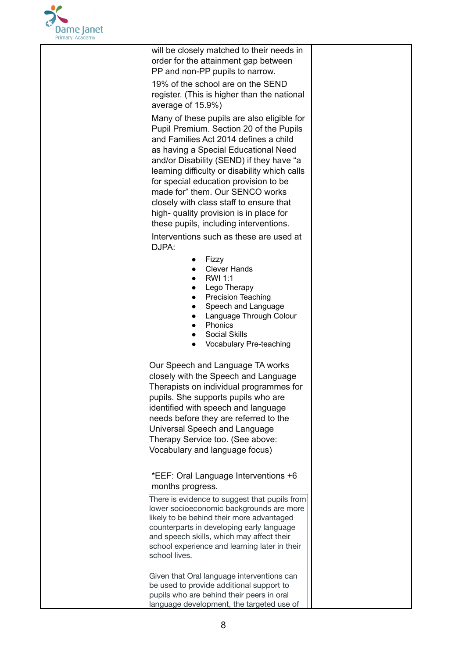

will be closely matched to their needs in order for the attainment gap between PP and non-PP pupils to narrow.

19% of the school are on the SEND register. (This is higher than the national average of 15.9%)

Many of these pupils are also eligible for Pupil Premium. Section 20 of the Pupils and Families Act 2014 defines a child as having a Special Educational Need and/or Disability (SEND) if they have "a learning difficulty or disability which calls for special education provision to be made for" them. Our SENCO works closely with class staff to ensure that high- quality provision is in place for these pupils, including interventions.

Interventions such as these are used at DJPA:

- Fizzy
- Clever Hands
- RWI 1:1
- Lego Therapy
- Precision Teaching
- Speech and Language
- Language Through Colour
- Phonics
- **Social Skills**
- Vocabulary Pre-teaching

Our Speech and Language TA works closely with the Speech and Language Therapists on individual programmes for pupils. She supports pupils who are identified with speech and language needs before they are referred to the Universal Speech and Language Therapy Service too. (See above: Vocabulary and language focus)

\*EEF: Oral Language Interventions +6 months progress.

There is evidence to suggest that pupils from lower socioeconomic backgrounds are more likely to be behind their more advantaged counterparts in developing early language and speech skills, which may affect their school experience and learning later in their school lives.

Given that Oral language interventions can be used to provide additional support to pupils who are behind their peers in oral language development, the targeted use of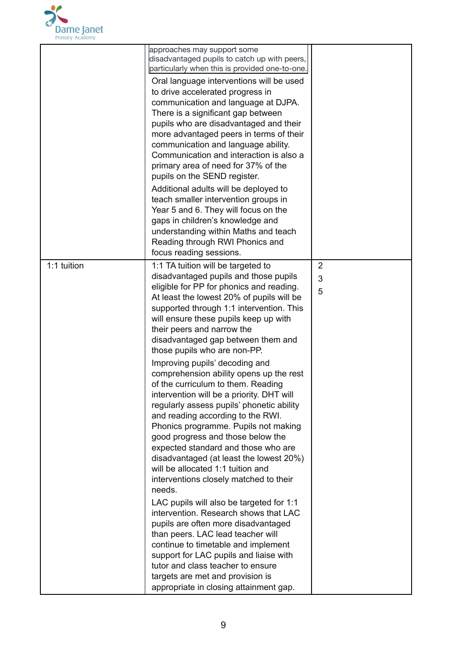

|             | approaches may support some<br>disadvantaged pupils to catch up with peers,<br>particularly when this is provided one-to-one.<br>Oral language interventions will be used<br>to drive accelerated progress in<br>communication and language at DJPA.<br>There is a significant gap between<br>pupils who are disadvantaged and their<br>more advantaged peers in terms of their<br>communication and language ability.<br>Communication and interaction is also a<br>primary area of need for 37% of the<br>pupils on the SEND register.<br>Additional adults will be deployed to<br>teach smaller intervention groups in<br>Year 5 and 6. They will focus on the<br>gaps in children's knowledge and<br>understanding within Maths and teach<br>Reading through RWI Phonics and<br>focus reading sessions. |             |
|-------------|-------------------------------------------------------------------------------------------------------------------------------------------------------------------------------------------------------------------------------------------------------------------------------------------------------------------------------------------------------------------------------------------------------------------------------------------------------------------------------------------------------------------------------------------------------------------------------------------------------------------------------------------------------------------------------------------------------------------------------------------------------------------------------------------------------------|-------------|
| 1:1 tuition | 1:1 TA tuition will be targeted to<br>disadvantaged pupils and those pupils<br>eligible for PP for phonics and reading.<br>At least the lowest 20% of pupils will be<br>supported through 1:1 intervention. This<br>will ensure these pupils keep up with<br>their peers and narrow the<br>disadvantaged gap between them and<br>those pupils who are non-PP.<br>Improving pupils' decoding and<br>comprehension ability opens up the rest<br>of the curriculum to them. Reading<br>intervention will be a priority. DHT will<br>regularly assess pupils' phonetic ability<br>and reading according to the RWI.<br>Phonics programme. Pupils not making<br>good progress and those below the<br>expected standard and those who are                                                                         | 2<br>3<br>5 |
|             | disadvantaged (at least the lowest 20%)<br>will be allocated 1:1 tuition and<br>interventions closely matched to their<br>needs.<br>LAC pupils will also be targeted for 1:1<br>intervention. Research shows that LAC<br>pupils are often more disadvantaged<br>than peers. LAC lead teacher will<br>continue to timetable and implement<br>support for LAC pupils and liaise with<br>tutor and class teacher to ensure<br>targets are met and provision is<br>appropriate in closing attainment gap.                                                                                                                                                                                                                                                                                                       |             |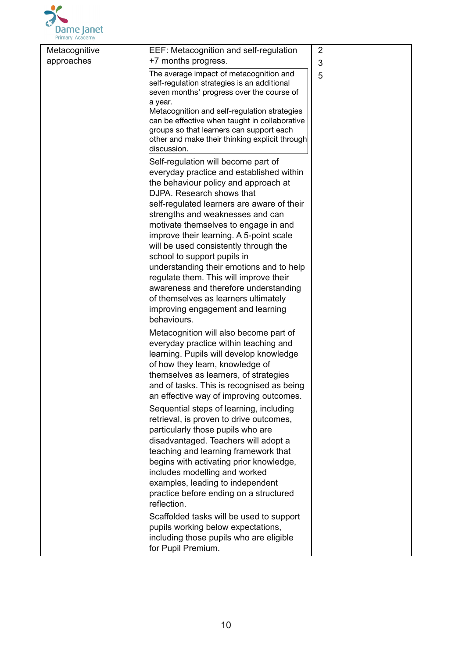

| Metacognitive | EEF: Metacognition and self-regulation                                                                                                                                                                                                                                                                                                                                                                                                                                                                                                                                   | 2 |
|---------------|--------------------------------------------------------------------------------------------------------------------------------------------------------------------------------------------------------------------------------------------------------------------------------------------------------------------------------------------------------------------------------------------------------------------------------------------------------------------------------------------------------------------------------------------------------------------------|---|
| approaches    | +7 months progress.                                                                                                                                                                                                                                                                                                                                                                                                                                                                                                                                                      | 3 |
|               | The average impact of metacognition and<br>self-regulation strategies is an additional<br>seven months' progress over the course of<br>a year.<br>Metacognition and self-regulation strategies                                                                                                                                                                                                                                                                                                                                                                           | 5 |
|               | can be effective when taught in collaborative<br>groups so that learners can support each<br>other and make their thinking explicit through<br>discussion.                                                                                                                                                                                                                                                                                                                                                                                                               |   |
|               | Self-regulation will become part of<br>everyday practice and established within<br>the behaviour policy and approach at<br>DJPA. Research shows that<br>self-regulated learners are aware of their<br>strengths and weaknesses and can<br>motivate themselves to engage in and<br>improve their learning. A 5-point scale<br>will be used consistently through the<br>school to support pupils in<br>understanding their emotions and to help<br>regulate them. This will improve their<br>awareness and therefore understanding<br>of themselves as learners ultimately |   |
|               | improving engagement and learning<br>behaviours.<br>Metacognition will also become part of                                                                                                                                                                                                                                                                                                                                                                                                                                                                               |   |
|               | everyday practice within teaching and<br>learning. Pupils will develop knowledge<br>of how they learn, knowledge of<br>themselves as learners, of strategies<br>and of tasks. This is recognised as being<br>an effective way of improving outcomes.                                                                                                                                                                                                                                                                                                                     |   |
|               | Sequential steps of learning, including<br>retrieval, is proven to drive outcomes,<br>particularly those pupils who are<br>disadvantaged. Teachers will adopt a<br>teaching and learning framework that<br>begins with activating prior knowledge,<br>includes modelling and worked<br>examples, leading to independent<br>practice before ending on a structured<br>reflection.                                                                                                                                                                                         |   |
|               | Scaffolded tasks will be used to support<br>pupils working below expectations,<br>including those pupils who are eligible<br>for Pupil Premium.                                                                                                                                                                                                                                                                                                                                                                                                                          |   |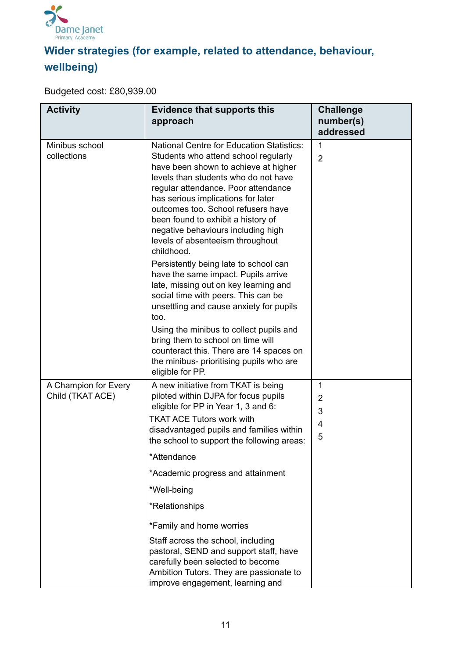

# **Wider strategies (for example, related to attendance, behaviour, wellbeing)**

Budgeted cost: £80,939.00

| <b>Activity</b>                          | <b>Evidence that supports this</b><br>approach                                                                                                                                                                                                                                                                                                                                                                            | <b>Challenge</b><br>number(s)<br>addressed |
|------------------------------------------|---------------------------------------------------------------------------------------------------------------------------------------------------------------------------------------------------------------------------------------------------------------------------------------------------------------------------------------------------------------------------------------------------------------------------|--------------------------------------------|
| Minibus school<br>collections            | <b>National Centre for Education Statistics:</b><br>Students who attend school regularly<br>have been shown to achieve at higher<br>levels than students who do not have<br>regular attendance. Poor attendance<br>has serious implications for later<br>outcomes too. School refusers have<br>been found to exhibit a history of<br>negative behaviours including high<br>levels of absenteeism throughout<br>childhood. | 1<br>$\overline{2}$                        |
|                                          | Persistently being late to school can<br>have the same impact. Pupils arrive<br>late, missing out on key learning and<br>social time with peers. This can be<br>unsettling and cause anxiety for pupils<br>too.<br>Using the minibus to collect pupils and<br>bring them to school on time will<br>counteract this. There are 14 spaces on<br>the minibus- prioritising pupils who are<br>eligible for PP.                |                                            |
| A Champion for Every<br>Child (TKAT ACE) | A new initiative from TKAT is being<br>piloted within DJPA for focus pupils<br>eligible for PP in Year 1, 3 and 6:<br><b>TKAT ACE Tutors work with</b><br>disadvantaged pupils and families within<br>the school to support the following areas:<br>*Attendance<br>*Academic progress and attainment<br>*Well-being<br>*Relationships                                                                                     | 1<br>$\overline{2}$<br>3<br>4<br>5         |
|                                          | *Family and home worries<br>Staff across the school, including<br>pastoral, SEND and support staff, have<br>carefully been selected to become<br>Ambition Tutors. They are passionate to<br>improve engagement, learning and                                                                                                                                                                                              |                                            |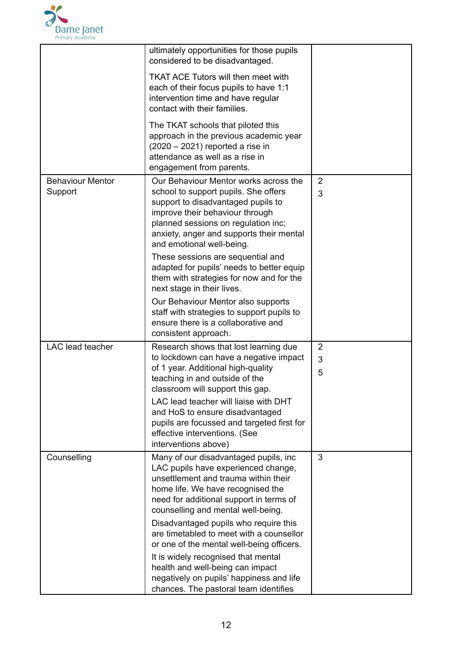

|                                    | ultimately opportunities for those pupils<br>considered to be disadvantaged.<br><b>TKAT ACE Tutors will then meet with</b><br>each of their focus pupils to have 1:1<br>intervention time and have regular<br>contact with their families.<br>The TKAT schools that piloted this<br>approach in the previous academic year<br>$(2020 - 2021)$ reported a rise in<br>attendance as well as a rise in<br>engagement from parents.                                                                                                                                                       |                          |
|------------------------------------|---------------------------------------------------------------------------------------------------------------------------------------------------------------------------------------------------------------------------------------------------------------------------------------------------------------------------------------------------------------------------------------------------------------------------------------------------------------------------------------------------------------------------------------------------------------------------------------|--------------------------|
| <b>Behaviour Mentor</b><br>Support | Our Behaviour Mentor works across the<br>school to support pupils. She offers<br>support to disadvantaged pupils to<br>improve their behaviour through<br>planned sessions on regulation inc;<br>anxiety, anger and supports their mental<br>and emotional well-being.<br>These sessions are sequential and<br>adapted for pupils' needs to better equip<br>them with strategies for now and for the<br>next stage in their lives.<br>Our Behaviour Mentor also supports<br>staff with strategies to support pupils to<br>ensure there is a collaborative and<br>consistent approach. | $\overline{2}$<br>3      |
| <b>LAC</b> lead teacher            | Research shows that lost learning due<br>to lockdown can have a negative impact<br>of 1 year. Additional high-quality<br>teaching in and outside of the<br>classroom will support this gap.<br>LAC lead teacher will liaise with DHT<br>and HoS to ensure disadvantaged<br>pupils are focussed and targeted first for<br>effective interventions. (See<br>interventions above)                                                                                                                                                                                                        | $\overline{2}$<br>3<br>5 |
| Counselling                        | Many of our disadvantaged pupils, inc<br>LAC pupils have experienced change,<br>unsettlement and trauma within their<br>home life. We have recognised the<br>need for additional support in terms of<br>counselling and mental well-being.<br>Disadvantaged pupils who require this<br>are timetabled to meet with a counsellor<br>or one of the mental well-being officers.<br>It is widely recognised that mental<br>health and well-being can impact<br>negatively on pupils' happiness and life<br>chances. The pastoral team identifies                                          | 3                        |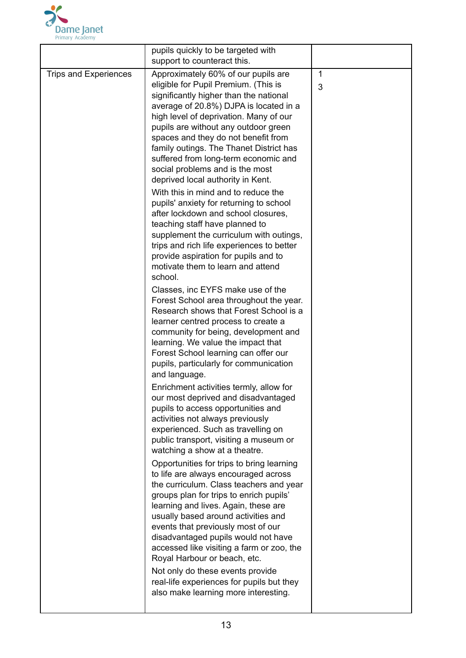

|                       | pupils quickly to be targeted with                                                                                                                                                                                                                                                                                                                                                                                                                                                                                                                                                                                                                                                                                                                                                                                                                                                                                                                                                                                                                                                                                                                                                                                                                                                                                                                                                                                                                                                                                                                                                                                                                                                                                                                                                                                                                                                                                                                                         |                   |
|-----------------------|----------------------------------------------------------------------------------------------------------------------------------------------------------------------------------------------------------------------------------------------------------------------------------------------------------------------------------------------------------------------------------------------------------------------------------------------------------------------------------------------------------------------------------------------------------------------------------------------------------------------------------------------------------------------------------------------------------------------------------------------------------------------------------------------------------------------------------------------------------------------------------------------------------------------------------------------------------------------------------------------------------------------------------------------------------------------------------------------------------------------------------------------------------------------------------------------------------------------------------------------------------------------------------------------------------------------------------------------------------------------------------------------------------------------------------------------------------------------------------------------------------------------------------------------------------------------------------------------------------------------------------------------------------------------------------------------------------------------------------------------------------------------------------------------------------------------------------------------------------------------------------------------------------------------------------------------------------------------------|-------------------|
|                       | support to counteract this.                                                                                                                                                                                                                                                                                                                                                                                                                                                                                                                                                                                                                                                                                                                                                                                                                                                                                                                                                                                                                                                                                                                                                                                                                                                                                                                                                                                                                                                                                                                                                                                                                                                                                                                                                                                                                                                                                                                                                |                   |
| Trips and Experiences | Approximately 60% of our pupils are<br>eligible for Pupil Premium. (This is<br>significantly higher than the national<br>average of 20.8%) DJPA is located in a<br>high level of deprivation. Many of our<br>pupils are without any outdoor green<br>spaces and they do not benefit from<br>family outings. The Thanet District has<br>suffered from long-term economic and<br>social problems and is the most<br>deprived local authority in Kent.<br>With this in mind and to reduce the<br>pupils' anxiety for returning to school<br>after lockdown and school closures,<br>teaching staff have planned to<br>supplement the curriculum with outings,<br>trips and rich life experiences to better<br>provide aspiration for pupils and to<br>motivate them to learn and attend<br>school.<br>Classes, inc EYFS make use of the<br>Forest School area throughout the year.<br>Research shows that Forest School is a<br>learner centred process to create a<br>community for being, development and<br>learning. We value the impact that<br>Forest School learning can offer our<br>pupils, particularly for communication<br>and language.<br>Enrichment activities termly, allow for<br>our most deprived and disadvantaged<br>pupils to access opportunities and<br>activities not always previously<br>experienced. Such as travelling on<br>public transport, visiting a museum or<br>watching a show at a theatre.<br>Opportunities for trips to bring learning<br>to life are always encouraged across<br>the curriculum. Class teachers and year<br>groups plan for trips to enrich pupils'<br>learning and lives. Again, these are<br>usually based around activities and<br>events that previously most of our<br>disadvantaged pupils would not have<br>accessed like visiting a farm or zoo, the<br>Royal Harbour or beach, etc.<br>Not only do these events provide<br>real-life experiences for pupils but they<br>also make learning more interesting. | $\mathbf{1}$<br>3 |
|                       |                                                                                                                                                                                                                                                                                                                                                                                                                                                                                                                                                                                                                                                                                                                                                                                                                                                                                                                                                                                                                                                                                                                                                                                                                                                                                                                                                                                                                                                                                                                                                                                                                                                                                                                                                                                                                                                                                                                                                                            |                   |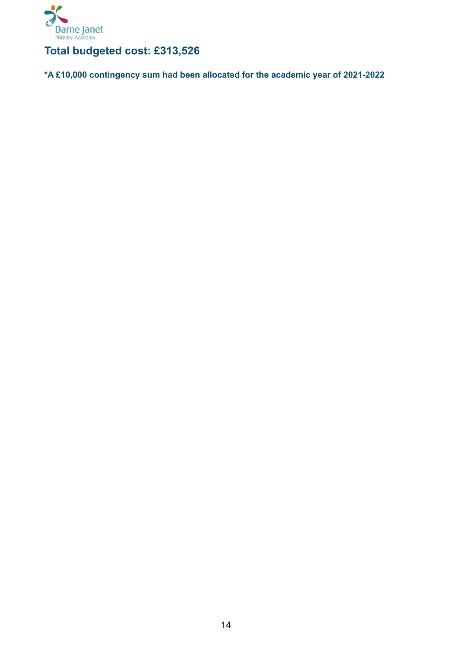

#### **Total budgeted cost: £313,526**

**\*A £10,000 contingency sum had been allocated for the academic year of 2021-2022**